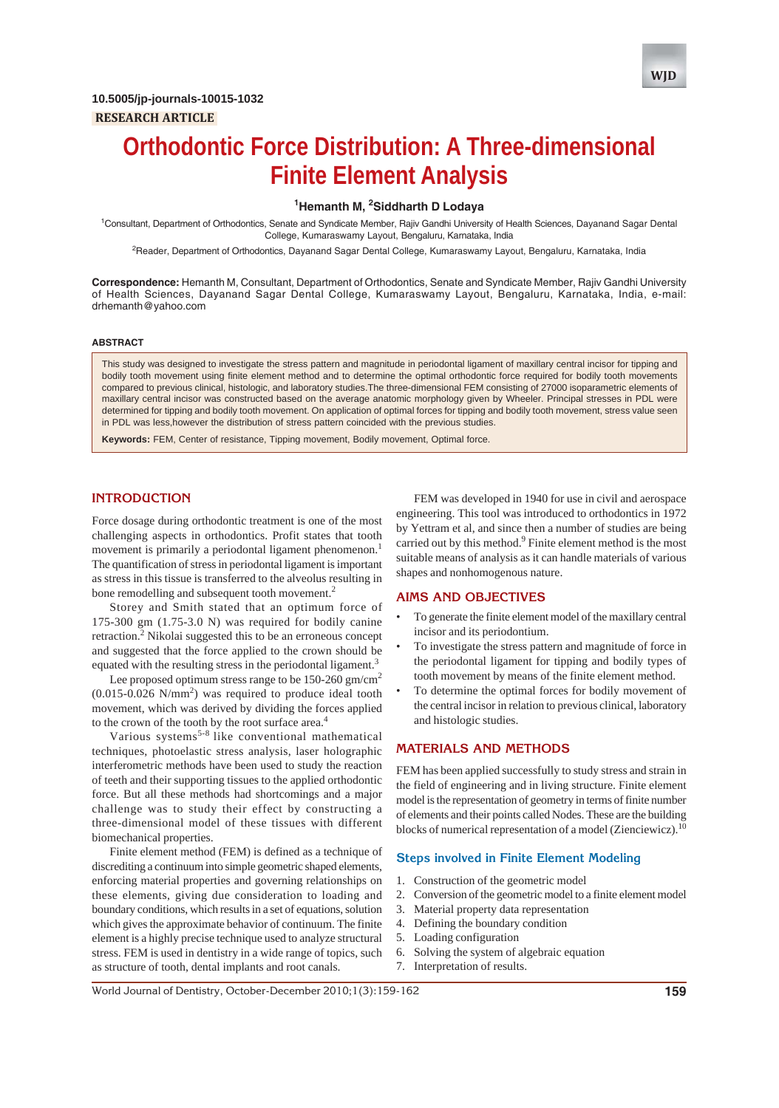

# **Orthodontic Force Distribution: A Three-dimensional Finite Element Analysis**

## **1 Hemanth M, 2 Siddharth D Lodaya**

<sup>1</sup>Consultant, Department of Orthodontics, Senate and Syndicate Member, Rajiv Gandhi University of Health Sciences, Dayanand Sagar Dental College, Kumaraswamy Layout, Bengaluru, Karnataka, India

<sup>2</sup>Reader, Department of Orthodontics, Dayanand Sagar Dental College, Kumaraswamy Layout, Bengaluru, Karnataka, India

**Correspondence:** Hemanth M, Consultant, Department of Orthodontics, Senate and Syndicate Member, Rajiv Gandhi University of Health Sciences, Dayanand Sagar Dental College, Kumaraswamy Layout, Bengaluru, Karnataka, India, e-mail: drhemanth@yahoo.com

#### **ABSTRACT**

This study was designed to investigate the stress pattern and magnitude in periodontal ligament of maxillary central incisor for tipping and bodily tooth movement using finite element method and to determine the optimal orthodontic force required for bodily tooth movements compared to previous clinical, histologic, and laboratory studies.The three-dimensional FEM consisting of 27000 isoparametric elements of maxillary central incisor was constructed based on the average anatomic morphology given by Wheeler. Principal stresses in PDL were determined for tipping and bodily tooth movement. On application of optimal forces for tipping and bodily tooth movement, stress value seen in PDL was less,however the distribution of stress pattern coincided with the previous studies.

**Keywords:** FEM, Center of resistance, Tipping movement, Bodily movement, Optimal force.

## **INTRODUCTION**

Force dosage during orthodontic treatment is one of the most challenging aspects in orthodontics. Profit states that tooth movement is primarily a periodontal ligament phenomenon.<sup>1</sup> The quantification of stress in periodontal ligament is important as stress in this tissue is transferred to the alveolus resulting in bone remodelling and subsequent tooth movement.<sup>2</sup>

Storey and Smith stated that an optimum force of 175-300 gm (1.75-3.0 N) was required for bodily canine retraction.<sup>2</sup> Nikolai suggested this to be an erroneous concept and suggested that the force applied to the crown should be equated with the resulting stress in the periodontal ligament.<sup>3</sup>

Lee proposed optimum stress range to be 150-260 gm/cm<sup>2</sup>  $(0.015 - 0.026 \text{ N/mm}^2)$  was required to produce ideal tooth movement, which was derived by dividing the forces applied to the crown of the tooth by the root surface area.<sup>4</sup>

Various systems5-8 like conventional mathematical techniques, photoelastic stress analysis, laser holographic interferometric methods have been used to study the reaction of teeth and their supporting tissues to the applied orthodontic force. But all these methods had shortcomings and a major challenge was to study their effect by constructing a three-dimensional model of these tissues with different biomechanical properties.

Finite element method (FEM) is defined as a technique of discrediting a continuum into simple geometric shaped elements, enforcing material properties and governing relationships on these elements, giving due consideration to loading and boundary conditions, which results in a set of equations, solution which gives the approximate behavior of continuum. The finite element is a highly precise technique used to analyze structural stress. FEM is used in dentistry in a wide range of topics, such as structure of tooth, dental implants and root canals.

FEM was developed in 1940 for use in civil and aerospace engineering. This tool was introduced to orthodontics in 1972 by Yettram et al, and since then a number of studies are being carried out by this method.<sup>9</sup> Finite element method is the most suitable means of analysis as it can handle materials of various shapes and nonhomogenous nature.

## **AIMS AND OBJECTIVES**

- To generate the finite element model of the maxillary central incisor and its periodontium.
- To investigate the stress pattern and magnitude of force in the periodontal ligament for tipping and bodily types of tooth movement by means of the finite element method.
- To determine the optimal forces for bodily movement of the central incisor in relation to previous clinical, laboratory and histologic studies.

## **MATERIALS AND METHODS**

FEM has been applied successfully to study stress and strain in the field of engineering and in living structure. Finite element model is the representation of geometry in terms of finite number of elements and their points called Nodes. These are the building blocks of numerical representation of a model (Zienciewicz).<sup>10</sup>

#### **Steps involved in Finite Element Modeling**

- 1. Construction of the geometric model
- 2. Conversion of the geometric model to a finite element model
- 3. Material property data representation
- 4. Defining the boundary condition
- 5. Loading configuration
- 6. Solving the system of algebraic equation
- 7. Interpretation of results.

World Journal of Dentistry, October-December 2010;1(3):159-162 **159**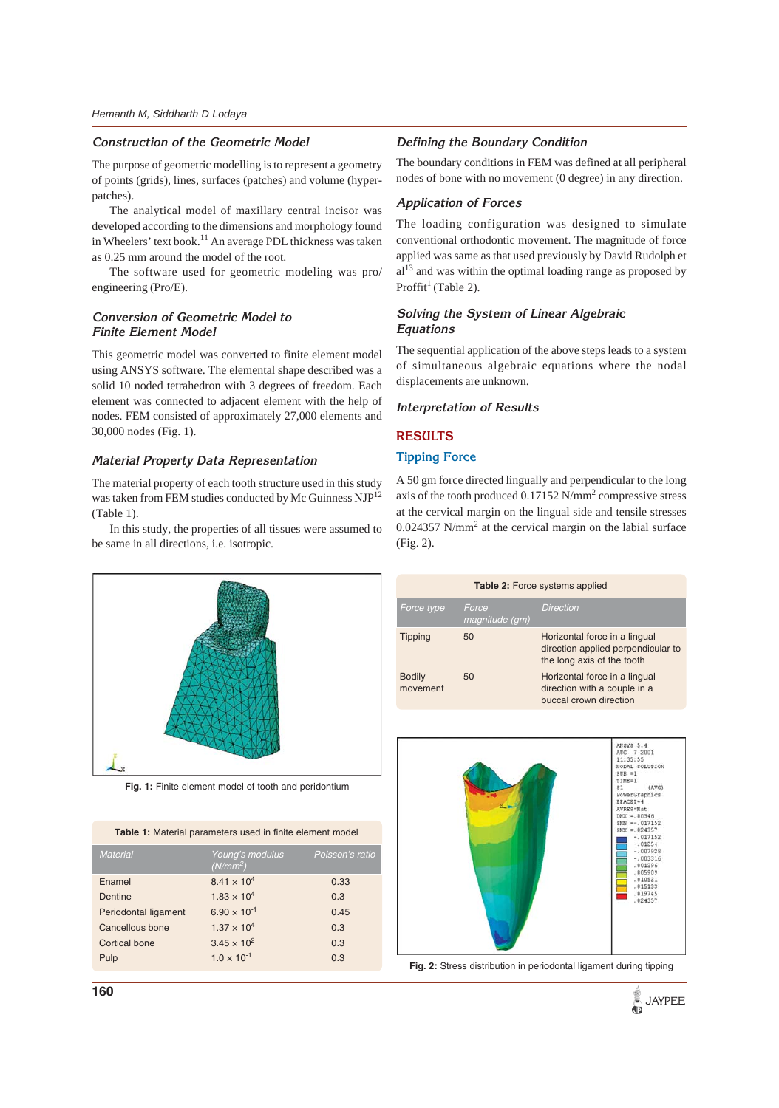## **Construction of the Geometric Model**

The purpose of geometric modelling is to represent a geometry of points (grids), lines, surfaces (patches) and volume (hyperpatches).

The analytical model of maxillary central incisor was developed according to the dimensions and morphology found in Wheelers' text book.<sup>11</sup> An average PDL thickness was taken as 0.25 mm around the model of the root.

The software used for geometric modeling was pro/ engineering (Pro/E).

# **Conversion of Geometric Model to Finite Element Model**

This geometric model was converted to finite element model using ANSYS software. The elemental shape described was a solid 10 noded tetrahedron with 3 degrees of freedom. Each element was connected to adjacent element with the help of nodes. FEM consisted of approximately 27,000 elements and 30,000 nodes (Fig. 1).

## **Material Property Data Representation**

The material property of each tooth structure used in this study was taken from FEM studies conducted by Mc Guinness NJP<sup>12</sup> (Table 1).

In this study, the properties of all tissues were assumed to be same in all directions, i.e. isotropic.



The boundary conditions in FEM was defined at all peripheral nodes of bone with no movement (0 degree) in any direction.

# **Application of Forces**

The loading configuration was designed to simulate conventional orthodontic movement. The magnitude of force applied was same as that used previously by David Rudolph et al<sup>13</sup> and was within the optimal loading range as proposed by Proffit<sup>1</sup> (Table 2).

# **Solving the System of Linear Algebraic Equations**

The sequential application of the above steps leads to a system of simultaneous algebraic equations where the nodal displacements are unknown.

## **Interpretation of Results**

## **RESULTS**

# **Tipping Force**

A 50 gm force directed lingually and perpendicular to the long axis of the tooth produced  $0.17152$  N/mm<sup>2</sup> compressive stress at the cervical margin on the lingual side and tensile stresses  $0.024357$  N/mm<sup>2</sup> at the cervical margin on the labial surface (Fig. 2).



**Fig. 1:** Finite element model of tooth and peridontium

**Table 1:** Material parameters used in finite element model

| <b>Material</b>      | Young's modulus<br>$(N/mm^2)$ | Poisson's ratio |
|----------------------|-------------------------------|-----------------|
| Enamel               | $8.41 \times 10^{4}$          | 0.33            |
| Dentine              | $1.83 \times 10^{4}$          | 0.3             |
| Periodontal ligament | $6.90 \times 10^{-1}$         | 0.45            |
| Cancellous bone      | $1.37 \times 10^{4}$          | 0.3             |
| <b>Cortical bone</b> | $3.45 \times 10^{2}$          | 0.3             |
| Pulp                 | $1.0 \times 10^{-1}$          | 0.3             |
|                      |                               |                 |





**Fig. 2:** Stress distribution in periodontal ligament during tipping

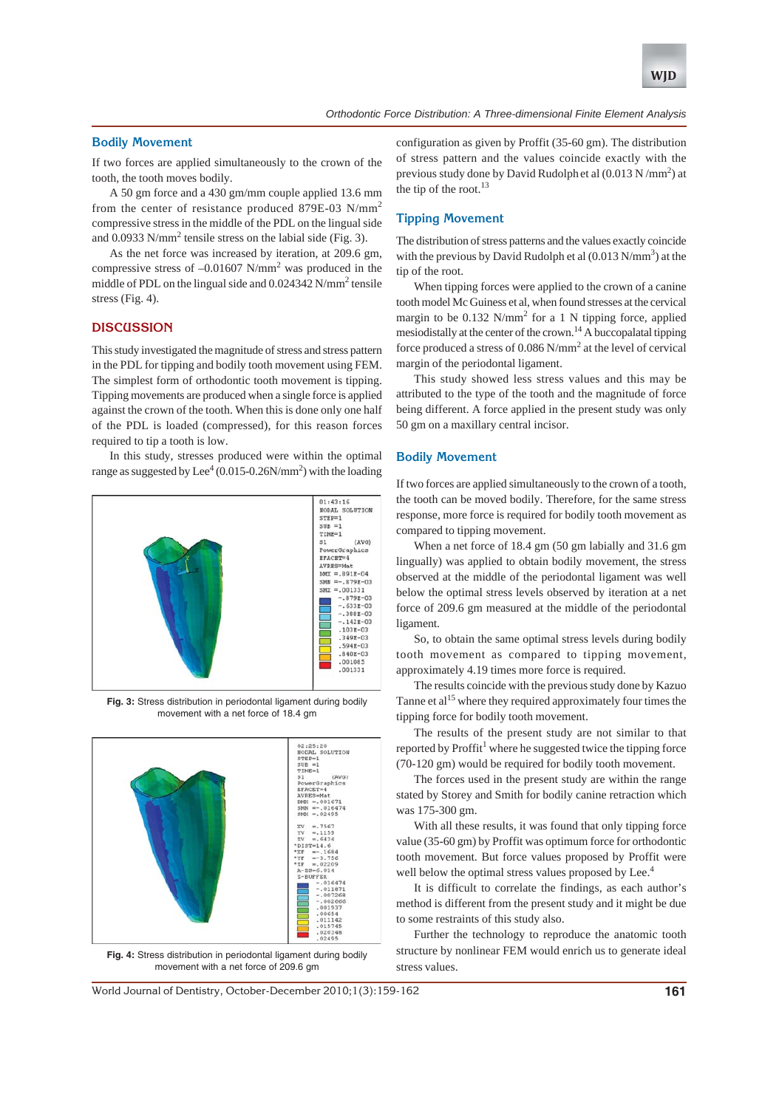

## **Bodily Movement**

If two forces are applied simultaneously to the crown of the tooth, the tooth moves bodily.

A 50 gm force and a 430 gm/mm couple applied 13.6 mm from the center of resistance produced 879E-03 N/mm<sup>2</sup> compressive stress in the middle of the PDL on the lingual side and 0.0933 N/mm<sup>2</sup> tensile stress on the labial side (Fig. 3).

As the net force was increased by iteration, at 209.6 gm, compressive stress of  $-0.01607$  N/mm<sup>2</sup> was produced in the middle of PDL on the lingual side and 0.024342 N/mm<sup>2</sup> tensile stress (Fig. 4).

#### **DISCUSSION**

This study investigated the magnitude of stress and stress pattern in the PDL for tipping and bodily tooth movement using FEM. The simplest form of orthodontic tooth movement is tipping. Tipping movements are produced when a single force is applied against the crown of the tooth. When this is done only one half of the PDL is loaded (compressed), for this reason forces required to tip a tooth is low.

In this study, stresses produced were within the optimal range as suggested by Lee<sup>4</sup> (0.015-0.26N/mm<sup>2</sup>) with the loading



**Fig. 3:** Stress distribution in periodontal ligament during bodily movement with a net force of 18.4 gm



**Fig. 4:** Stress distribution in periodontal ligament during bodily movement with a net force of 209.6 gm

configuration as given by Proffit (35-60 gm). The distribution of stress pattern and the values coincide exactly with the previous study done by David Rudolph et al  $(0.013 \text{ N/mm}^2)$  at the tip of the root. $13$ 

## **Tipping Movement**

The distribution of stress patterns and the values exactly coincide with the previous by David Rudolph et al  $(0.013 \text{ N/mm}^3)$  at the tip of the root.

When tipping forces were applied to the crown of a canine tooth model Mc Guiness et al, when found stresses at the cervical margin to be  $0.132$  N/mm<sup>2</sup> for a 1 N tipping force, applied mesiodistally at the center of the crown.14 A buccopalatal tipping force produced a stress of  $0.086$  N/mm<sup>2</sup> at the level of cervical margin of the periodontal ligament.

This study showed less stress values and this may be attributed to the type of the tooth and the magnitude of force being different. A force applied in the present study was only 50 gm on a maxillary central incisor.

## **Bodily Movement**

If two forces are applied simultaneously to the crown of a tooth, the tooth can be moved bodily. Therefore, for the same stress response, more force is required for bodily tooth movement as compared to tipping movement.

When a net force of 18.4 gm (50 gm labially and 31.6 gm lingually) was applied to obtain bodily movement, the stress observed at the middle of the periodontal ligament was well below the optimal stress levels observed by iteration at a net force of 209.6 gm measured at the middle of the periodontal ligament.

So, to obtain the same optimal stress levels during bodily tooth movement as compared to tipping movement, approximately 4.19 times more force is required.

The results coincide with the previous study done by Kazuo Tanne et al<sup>15</sup> where they required approximately four times the tipping force for bodily tooth movement.

The results of the present study are not similar to that reported by Proffit<sup>1</sup> where he suggested twice the tipping force (70-120 gm) would be required for bodily tooth movement.

The forces used in the present study are within the range stated by Storey and Smith for bodily canine retraction which was 175-300 gm.

With all these results, it was found that only tipping force value (35-60 gm) by Proffit was optimum force for orthodontic tooth movement. But force values proposed by Proffit were well below the optimal stress values proposed by Lee.<sup>4</sup>

It is difficult to correlate the findings, as each author's method is different from the present study and it might be due to some restraints of this study also.

Further the technology to reproduce the anatomic tooth structure by nonlinear FEM would enrich us to generate ideal stress values.

World Journal of Dentistry, October-December 2010;1(3):159-162 **161**